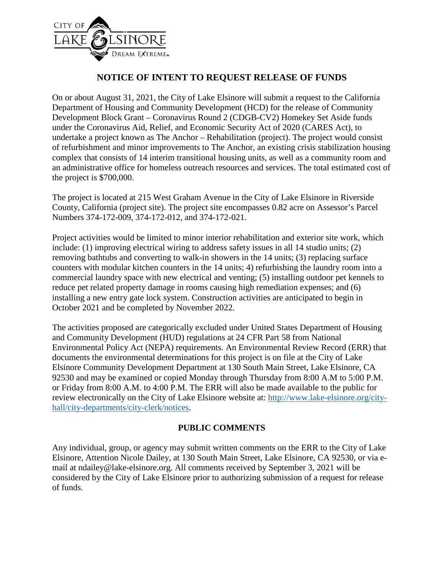

## **NOTICE OF INTENT TO REQUEST RELEASE OF FUNDS**

On or about August 31, 2021, the City of Lake Elsinore will submit a request to the California Department of Housing and Community Development (HCD) for the release of Community Development Block Grant – Coronavirus Round 2 (CDGB-CV2) Homekey Set Aside funds under the Coronavirus Aid, Relief, and Economic Security Act of 2020 (CARES Act), to undertake a project known as The Anchor – Rehabilitation (project). The project would consist of refurbishment and minor improvements to The Anchor, an existing crisis stabilization housing complex that consists of 14 interim transitional housing units, as well as a community room and an administrative office for homeless outreach resources and services. The total estimated cost of the project is \$700,000.

The project is located at 215 West Graham Avenue in the City of Lake Elsinore in Riverside County, California (project site). The project site encompasses 0.82 acre on Assessor's Parcel Numbers 374-172-009, 374-172-012, and 374-172-021.

Project activities would be limited to minor interior rehabilitation and exterior site work, which include: (1) improving electrical wiring to address safety issues in all 14 studio units; (2) removing bathtubs and converting to walk-in showers in the 14 units; (3) replacing surface counters with modular kitchen counters in the 14 units; 4) refurbishing the laundry room into a commercial laundry space with new electrical and venting; (5) installing outdoor pet kennels to reduce pet related property damage in rooms causing high remediation expenses; and (6) installing a new entry gate lock system. Construction activities are anticipated to begin in October 2021 and be completed by November 2022.

The activities proposed are categorically excluded under United States Department of Housing and Community Development (HUD) regulations at 24 CFR Part 58 from National Environmental Policy Act (NEPA) requirements. An Environmental Review Record (ERR) that documents the environmental determinations for this project is on file at the City of Lake Elsinore Community Development Department at 130 South Main Street, Lake Elsinore, CA 92530 and may be examined or copied Monday through Thursday from 8:00 A.M to 5:00 P.M. or Friday from 8:00 A.M. to 4:00 P.M. The ERR will also be made available to the public for review electronically on the City of Lake Elsinore website at: [http://www.lake-elsinore.org/city](http://www.lake-elsinore.org/city-hall/city-departments/city-clerk/notices)[hall/city-departments/city-clerk/notices.](http://www.lake-elsinore.org/city-hall/city-departments/city-clerk/notices)

## **PUBLIC COMMENTS**

Any individual, group, or agency may submit written comments on the ERR to the City of Lake Elsinore, Attention Nicole Dailey, at 130 South Main Street, Lake Elsinore, CA 92530, or via email at ndailey@lake-elsinore.org. All comments received by September 3, 2021 will be considered by the City of Lake Elsinore prior to authorizing submission of a request for release of funds.